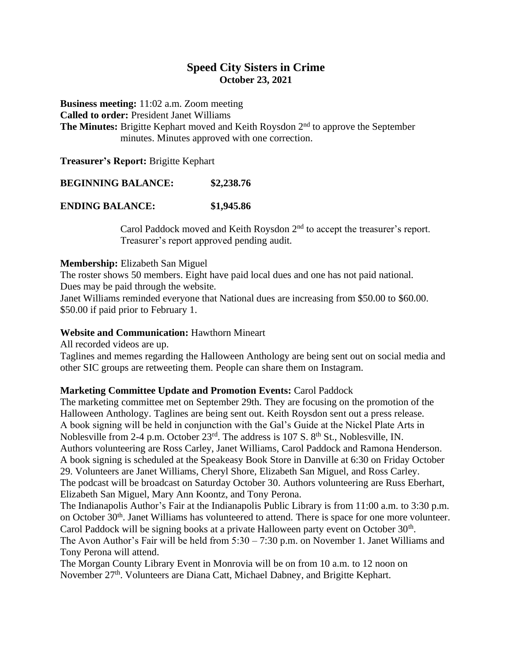## **Speed City Sisters in Crime October 23, 2021**

**Business meeting:** 11:02 a.m. Zoom meeting **Called to order:** President Janet Williams The Minutes: Brigitte Kephart moved and Keith Roysdon 2<sup>nd</sup> to approve the September minutes. Minutes approved with one correction.

**Treasurer's Report:** Brigitte Kephart

**BEGINNING BALANCE: \$2,238.76**

**ENDING BALANCE: \$1,945.86**

Carol Paddock moved and Keith Roysdon 2nd to accept the treasurer's report. Treasurer's report approved pending audit.

#### **Membership:** Elizabeth San Miguel

The roster shows 50 members. Eight have paid local dues and one has not paid national. Dues may be paid through the website.

Janet Williams reminded everyone that National dues are increasing from \$50.00 to \$60.00. \$50.00 if paid prior to February 1.

### **Website and Communication:** Hawthorn Mineart

All recorded videos are up.

Taglines and memes regarding the Halloween Anthology are being sent out on social media and other SIC groups are retweeting them. People can share them on Instagram.

## **Marketing Committee Update and Promotion Events:** Carol Paddock

The marketing committee met on September 29th. They are focusing on the promotion of the Halloween Anthology. Taglines are being sent out. Keith Roysdon sent out a press release. A book signing will be held in conjunction with the Gal's Guide at the Nickel Plate Arts in Noblesville from 2-4 p.m. October 23<sup>rd</sup>. The address is 107 S. 8<sup>th</sup> St., Noblesville, IN. Authors volunteering are Ross Carley, Janet Williams, Carol Paddock and Ramona Henderson. A book signing is scheduled at the Speakeasy Book Store in Danville at 6:30 on Friday October 29. Volunteers are Janet Williams, Cheryl Shore, Elizabeth San Miguel, and Ross Carley. The podcast will be broadcast on Saturday October 30. Authors volunteering are Russ Eberhart, Elizabeth San Miguel, Mary Ann Koontz, and Tony Perona.

The Indianapolis Author's Fair at the Indianapolis Public Library is from 11:00 a.m. to 3:30 p.m. on October 30<sup>th</sup>. Janet Williams has volunteered to attend. There is space for one more volunteer. Carol Paddock will be signing books at a private Halloween party event on October 30<sup>th</sup>. The Avon Author's Fair will be held from 5:30 – 7:30 p.m. on November 1. Janet Williams and Tony Perona will attend.

The Morgan County Library Event in Monrovia will be on from 10 a.m. to 12 noon on November 27th. Volunteers are Diana Catt, Michael Dabney, and Brigitte Kephart.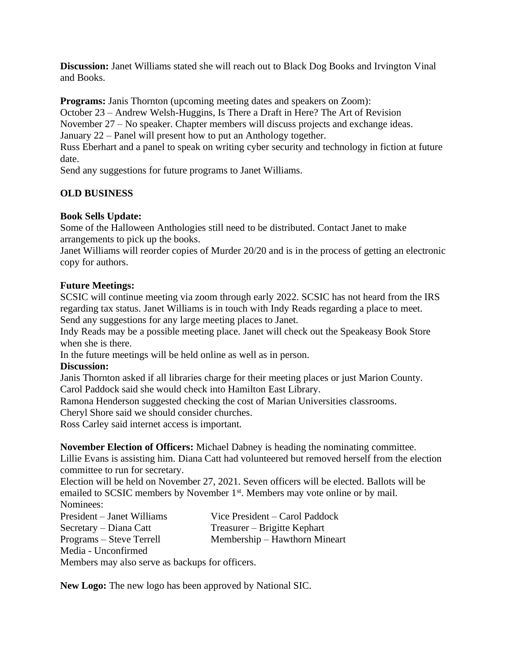**Discussion:** Janet Williams stated she will reach out to Black Dog Books and Irvington Vinal and Books.

**Programs:** Janis Thornton (upcoming meeting dates and speakers on Zoom):

October 23 – Andrew Welsh-Huggins, Is There a Draft in Here? The Art of Revision

November 27 – No speaker. Chapter members will discuss projects and exchange ideas.

January 22 – Panel will present how to put an Anthology together.

Russ Eberhart and a panel to speak on writing cyber security and technology in fiction at future date.

Send any suggestions for future programs to Janet Williams.

# **OLD BUSINESS**

# **Book Sells Update:**

Some of the Halloween Anthologies still need to be distributed. Contact Janet to make arrangements to pick up the books.

Janet Williams will reorder copies of Murder 20/20 and is in the process of getting an electronic copy for authors.

## **Future Meetings:**

SCSIC will continue meeting via zoom through early 2022. SCSIC has not heard from the IRS regarding tax status. Janet Williams is in touch with Indy Reads regarding a place to meet. Send any suggestions for any large meeting places to Janet.

Indy Reads may be a possible meeting place. Janet will check out the Speakeasy Book Store when she is there.

In the future meetings will be held online as well as in person.

## **Discussion:**

Janis Thornton asked if all libraries charge for their meeting places or just Marion County. Carol Paddock said she would check into Hamilton East Library.

Ramona Henderson suggested checking the cost of Marian Universities classrooms.

Cheryl Shore said we should consider churches.

Ross Carley said internet access is important.

**November Election of Officers:** Michael Dabney is heading the nominating committee.

Lillie Evans is assisting him. Diana Catt had volunteered but removed herself from the election committee to run for secretary.

Election will be held on November 27, 2021. Seven officers will be elected. Ballots will be emailed to SCSIC members by November 1<sup>st</sup>. Members may vote online or by mail. Nominees:

| President – Janet Williams | Vice President – Carol Paddock |
|----------------------------|--------------------------------|
| Secretary – Diana Catt     | Treasurer – Brigitte Kephart   |
| Programs – Steve Terrell   | Membership – Hawthorn Mineart  |
| Media - Unconfirmed        |                                |

Members may also serve as backups for officers.

**New Logo:** The new logo has been approved by National SIC.